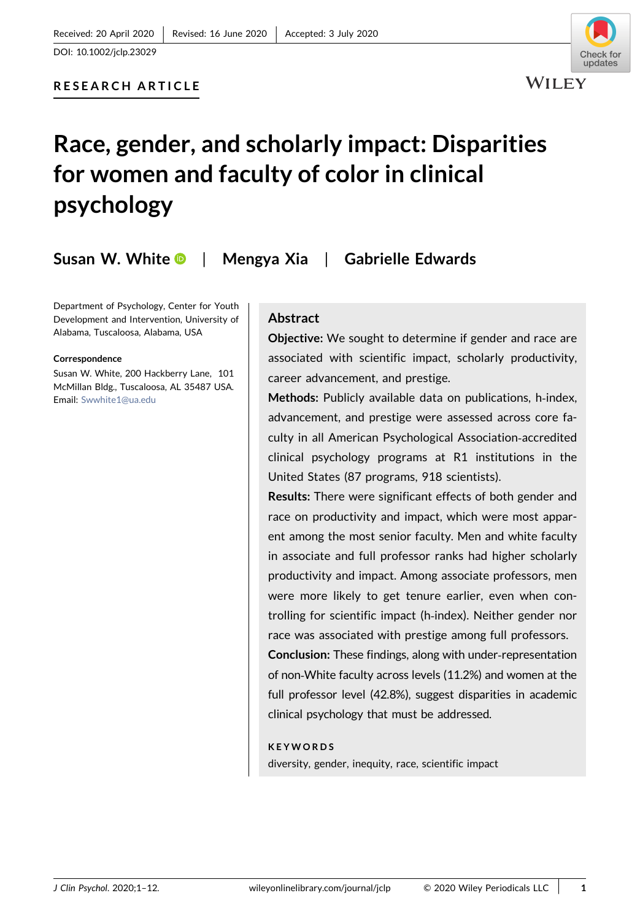# RESEARCH ARTICLE

# Race, gender, and scholarly impact: Disparities for women and faculty of color in clinical psychology

Susan W. Whit[e](http://orcid.org/0000-0002-6274-3147)  $\bullet$  | Mengya Xia | Gabrielle Edwards

Department of Psychology, Center for Youth Development and Intervention, University of Alabama, Tuscaloosa, Alabama, USA

#### Correspondence

Susan W. White, 200 Hackberry Lane, 101 McMillan Bldg., Tuscaloosa, AL 35487 USA. Email: [Swwhite1@ua.edu](mailto:Swwhite1@ua.edu)

### Abstract

Objective: We sought to determine if gender and race are associated with scientific impact, scholarly productivity, career advancement, and prestige.

Methods: Publicly available data on publications, h-index, advancement, and prestige were assessed across core faculty in all American Psychological Association‐accredited clinical psychology programs at R1 institutions in the United States (87 programs, 918 scientists).

Results: There were significant effects of both gender and race on productivity and impact, which were most apparent among the most senior faculty. Men and white faculty in associate and full professor ranks had higher scholarly productivity and impact. Among associate professors, men were more likely to get tenure earlier, even when controlling for scientific impact (h‐index). Neither gender nor race was associated with prestige among full professors. Conclusion: These findings, along with under‐representation of non‐White faculty across levels (11.2%) and women at the

full professor level (42.8%), suggest disparities in academic clinical psychology that must be addressed.

#### **KEYWORDS**

diversity, gender, inequity, race, scientific impact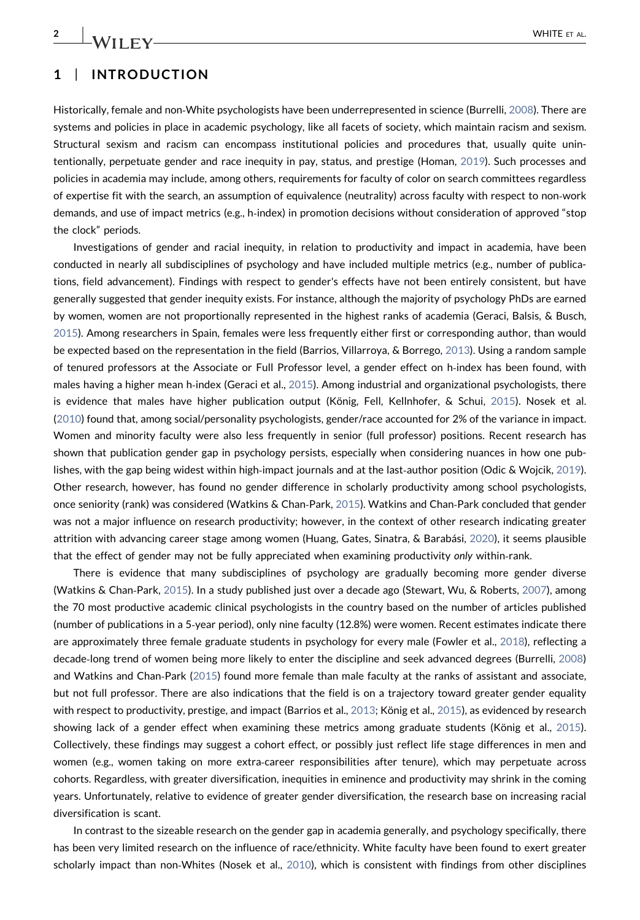# 1 | INTRODUCTION

Historically, female and non‐White psychologists have been underrepresented in science (Burrelli, [2008](#page-10-0)). There are systems and policies in place in academic psychology, like all facets of society, which maintain racism and sexism. Structural sexism and racism can encompass institutional policies and procedures that, usually quite unintentionally, perpetuate gender and race inequity in pay, status, and prestige (Homan, [2019](#page-11-0)). Such processes and policies in academia may include, among others, requirements for faculty of color on search committees regardless of expertise fit with the search, an assumption of equivalence (neutrality) across faculty with respect to non‐work demands, and use of impact metrics (e.g., h-index) in promotion decisions without consideration of approved "stop the clock" periods.

Investigations of gender and racial inequity, in relation to productivity and impact in academia, have been conducted in nearly all subdisciplines of psychology and have included multiple metrics (e.g., number of publications, field advancement). Findings with respect to gender's effects have not been entirely consistent, but have generally suggested that gender inequity exists. For instance, although the majority of psychology PhDs are earned by women, women are not proportionally represented in the highest ranks of academia (Geraci, Balsis, & Busch, [2015](#page-11-1)). Among researchers in Spain, females were less frequently either first or corresponding author, than would be expected based on the representation in the field (Barrios, Villarroya, & Borrego, [2013\)](#page-10-1). Using a random sample of tenured professors at the Associate or Full Professor level, a gender effect on h‐index has been found, with males having a higher mean h-index (Geraci et al., [2015](#page-11-1)). Among industrial and organizational psychologists, there is evidence that males have higher publication output (König, Fell, Kellnhofer, & Schui, [2015](#page-11-2)). Nosek et al. ([2010\)](#page-11-3) found that, among social/personality psychologists, gender/race accounted for 2% of the variance in impact. Women and minority faculty were also less frequently in senior (full professor) positions. Recent research has shown that publication gender gap in psychology persists, especially when considering nuances in how one pub-lishes, with the gap being widest within high-impact journals and at the last-author position (Odic & Wojcik, [2019](#page-11-4)). Other research, however, has found no gender difference in scholarly productivity among school psychologists, once seniority (rank) was considered (Watkins & Chan‐Park, [2015\)](#page-11-5). Watkins and Chan‐Park concluded that gender was not a major influence on research productivity; however, in the context of other research indicating greater attrition with advancing career stage among women (Huang, Gates, Sinatra, & Barabási, [2020](#page-11-6)), it seems plausible that the effect of gender may not be fully appreciated when examining productivity only within‐rank.

There is evidence that many subdisciplines of psychology are gradually becoming more gender diverse (Watkins & Chan‐Park, [2015\)](#page-11-5). In a study published just over a decade ago (Stewart, Wu, & Roberts, [2007](#page-11-7)), among the 70 most productive academic clinical psychologists in the country based on the number of articles published (number of publications in a 5‐year period), only nine faculty (12.8%) were women. Recent estimates indicate there are approximately three female graduate students in psychology for every male (Fowler et al., [2018](#page-11-8)), reflecting a decade‐long trend of women being more likely to enter the discipline and seek advanced degrees (Burrelli, [2008\)](#page-10-0) and Watkins and Chan‐Park [\(2015\)](#page-11-5) found more female than male faculty at the ranks of assistant and associate, but not full professor. There are also indications that the field is on a trajectory toward greater gender equality with respect to productivity, prestige, and impact (Barrios et al., [2013](#page-10-1); König et al., [2015\)](#page-11-2), as evidenced by research showing lack of a gender effect when examining these metrics among graduate students (König et al., [2015](#page-11-2)). Collectively, these findings may suggest a cohort effect, or possibly just reflect life stage differences in men and women (e.g., women taking on more extra‐career responsibilities after tenure), which may perpetuate across cohorts. Regardless, with greater diversification, inequities in eminence and productivity may shrink in the coming years. Unfortunately, relative to evidence of greater gender diversification, the research base on increasing racial diversification is scant.

In contrast to the sizeable research on the gender gap in academia generally, and psychology specifically, there has been very limited research on the influence of race/ethnicity. White faculty have been found to exert greater scholarly impact than non‐Whites (Nosek et al., [2010\)](#page-11-3), which is consistent with findings from other disciplines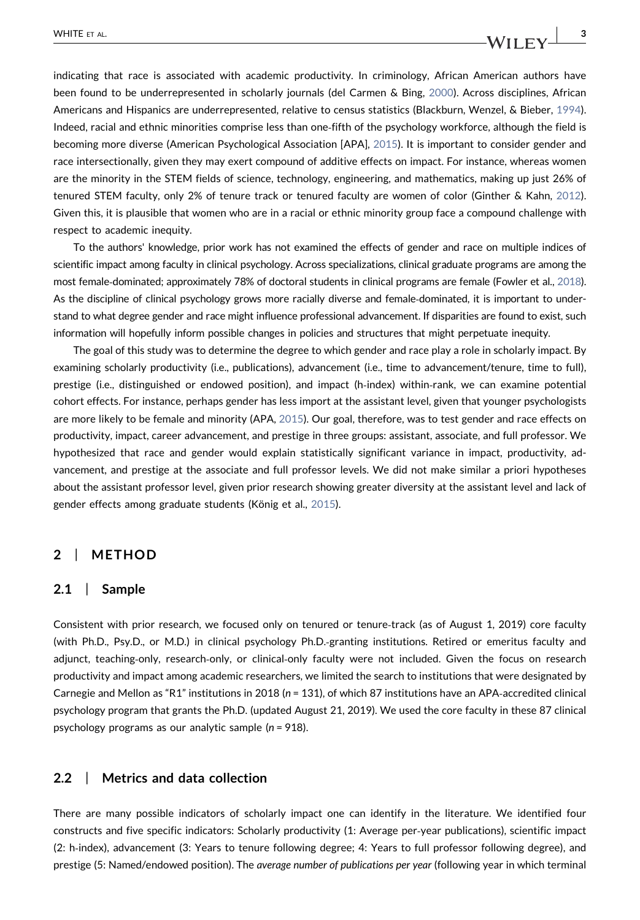indicating that race is associated with academic productivity. In criminology, African American authors have been found to be underrepresented in scholarly journals (del Carmen & Bing, [2000\)](#page-11-9). Across disciplines, African Americans and Hispanics are underrepresented, relative to census statistics (Blackburn, Wenzel, & Bieber, [1994](#page-10-2)). Indeed, racial and ethnic minorities comprise less than one-fifth of the psychology workforce, although the field is becoming more diverse (American Psychological Association [APA], [2015](#page-10-3)). It is important to consider gender and race intersectionally, given they may exert compound of additive effects on impact. For instance, whereas women are the minority in the STEM fields of science, technology, engineering, and mathematics, making up just 26% of tenured STEM faculty, only 2% of tenure track or tenured faculty are women of color (Ginther & Kahn, [2012](#page-11-10)). Given this, it is plausible that women who are in a racial or ethnic minority group face a compound challenge with respect to academic inequity.

To the authors' knowledge, prior work has not examined the effects of gender and race on multiple indices of scientific impact among faculty in clinical psychology. Across specializations, clinical graduate programs are among the most female-dominated; approximately 78% of doctoral students in clinical programs are female (Fowler et al., [2018](#page-11-8)). As the discipline of clinical psychology grows more racially diverse and female‐dominated, it is important to understand to what degree gender and race might influence professional advancement. If disparities are found to exist, such information will hopefully inform possible changes in policies and structures that might perpetuate inequity.

The goal of this study was to determine the degree to which gender and race play a role in scholarly impact. By examining scholarly productivity (i.e., publications), advancement (i.e., time to advancement/tenure, time to full), prestige (i.e., distinguished or endowed position), and impact (h‐index) within‐rank, we can examine potential cohort effects. For instance, perhaps gender has less import at the assistant level, given that younger psychologists are more likely to be female and minority (APA, [2015\)](#page-10-3). Our goal, therefore, was to test gender and race effects on productivity, impact, career advancement, and prestige in three groups: assistant, associate, and full professor. We hypothesized that race and gender would explain statistically significant variance in impact, productivity, advancement, and prestige at the associate and full professor levels. We did not make similar a priori hypotheses about the assistant professor level, given prior research showing greater diversity at the assistant level and lack of gender effects among graduate students (König et al., [2015](#page-11-2)).

# 2 | METHOD

#### 2.1 | Sample

Consistent with prior research, we focused only on tenured or tenure‐track (as of August 1, 2019) core faculty (with Ph.D., Psy.D., or M.D.) in clinical psychology Ph.D.‐granting institutions. Retired or emeritus faculty and adjunct, teaching‐only, research‐only, or clinical‐only faculty were not included. Given the focus on research productivity and impact among academic researchers, we limited the search to institutions that were designated by Carnegie and Mellon as "R1" institutions in 2018 (n = 131), of which 87 institutions have an APA‐accredited clinical psychology program that grants the Ph.D. (updated August 21, 2019). We used the core faculty in these 87 clinical psychology programs as our analytic sample (n = 918).

#### 2.2 | Metrics and data collection

There are many possible indicators of scholarly impact one can identify in the literature. We identified four constructs and five specific indicators: Scholarly productivity (1: Average per‐year publications), scientific impact (2: h‐index), advancement (3: Years to tenure following degree; 4: Years to full professor following degree), and prestige (5: Named/endowed position). The average number of publications per year (following year in which terminal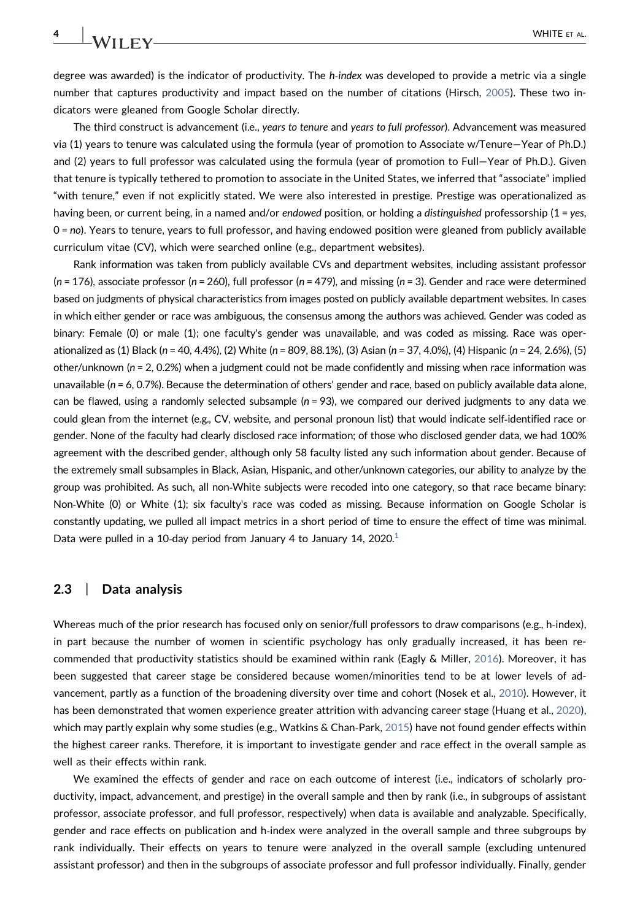degree was awarded) is the indicator of productivity. The h-index was developed to provide a metric via a single number that captures productivity and impact based on the number of citations (Hirsch, [2005](#page-11-11)). These two indicators were gleaned from Google Scholar directly.

The third construct is advancement (i.e., years to tenure and years to full professor). Advancement was measured via (1) years to tenure was calculated using the formula (year of promotion to Associate w/Tenure—Year of Ph.D.) and (2) years to full professor was calculated using the formula (year of promotion to Full—Year of Ph.D.). Given that tenure is typically tethered to promotion to associate in the United States, we inferred that "associate" implied "with tenure," even if not explicitly stated. We were also interested in prestige. Prestige was operationalized as having been, or current being, in a named and/or endowed position, or holding a distinguished professorship ( $1 = yes$ , 0 = no). Years to tenure, years to full professor, and having endowed position were gleaned from publicly available curriculum vitae (CV), which were searched online (e.g., department websites).

Rank information was taken from publicly available CVs and department websites, including assistant professor  $(n = 176)$ , associate professor (n = 260), full professor (n = 479), and missing (n = 3). Gender and race were determined based on judgments of physical characteristics from images posted on publicly available department websites. In cases in which either gender or race was ambiguous, the consensus among the authors was achieved. Gender was coded as binary: Female (0) or male (1); one faculty's gender was unavailable, and was coded as missing. Race was operationalized as (1) Black (n = 40, 4.4%), (2) White (n = 809, 88.1%), (3) Asian (n = 37, 4.0%), (4) Hispanic (n = 24, 2.6%), (5) other/unknown (n = 2, 0.2%) when a judgment could not be made confidently and missing when race information was unavailable ( $n = 6$ , 0.7%). Because the determination of others' gender and race, based on publicly available data alone, can be flawed, using a randomly selected subsample  $(n = 93)$ , we compared our derived judgments to any data we could glean from the internet (e.g., CV, website, and personal pronoun list) that would indicate self-identified race or gender. None of the faculty had clearly disclosed race information; of those who disclosed gender data, we had 100% agreement with the described gender, although only 58 faculty listed any such information about gender. Because of the extremely small subsamples in Black, Asian, Hispanic, and other/unknown categories, our ability to analyze by the group was prohibited. As such, all non‐White subjects were recoded into one category, so that race became binary: Non‐White (0) or White (1); six faculty's race was coded as missing. Because information on Google Scholar is constantly updating, we pulled all impact metrics in a short period of time to ensure the effect of time was minimal. Data were pulled in a [1](#page-10-4)0-day period from January 4 to January 14, 2020.<sup>1</sup>

#### 2.3 | Data analysis

Whereas much of the prior research has focused only on senior/full professors to draw comparisons (e.g., h-index), in part because the number of women in scientific psychology has only gradually increased, it has been recommended that productivity statistics should be examined within rank (Eagly & Miller, [2016\)](#page-11-12). Moreover, it has been suggested that career stage be considered because women/minorities tend to be at lower levels of advancement, partly as a function of the broadening diversity over time and cohort (Nosek et al., [2010](#page-11-3)). However, it has been demonstrated that women experience greater attrition with advancing career stage (Huang et al., [2020](#page-11-6)), which may partly explain why some studies (e.g., Watkins & Chan-Park, [2015](#page-11-5)) have not found gender effects within the highest career ranks. Therefore, it is important to investigate gender and race effect in the overall sample as well as their effects within rank.

We examined the effects of gender and race on each outcome of interest (i.e., indicators of scholarly productivity, impact, advancement, and prestige) in the overall sample and then by rank (i.e., in subgroups of assistant professor, associate professor, and full professor, respectively) when data is available and analyzable. Specifically, gender and race effects on publication and h-index were analyzed in the overall sample and three subgroups by rank individually. Their effects on years to tenure were analyzed in the overall sample (excluding untenured assistant professor) and then in the subgroups of associate professor and full professor individually. Finally, gender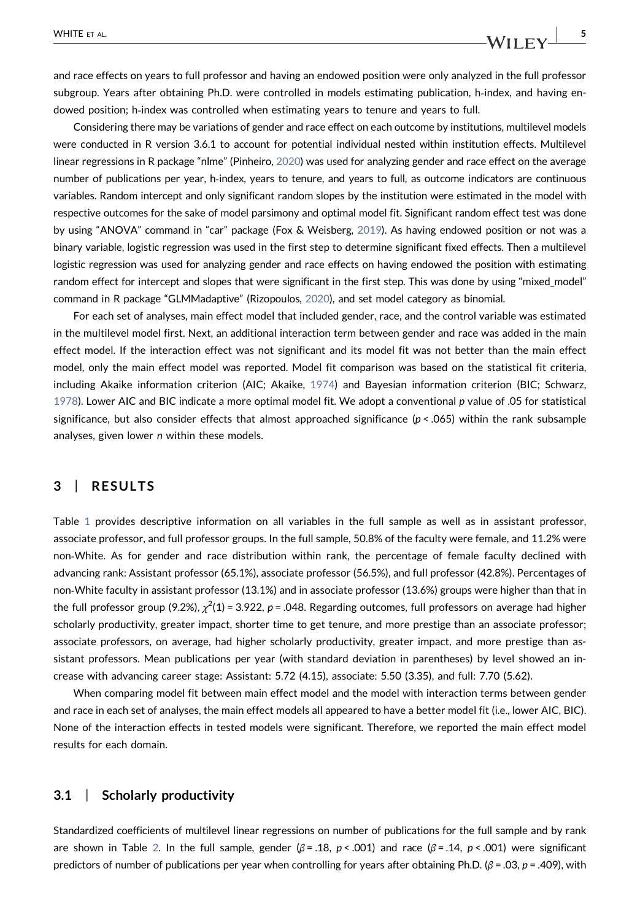and race effects on years to full professor and having an endowed position were only analyzed in the full professor subgroup. Years after obtaining Ph.D. were controlled in models estimating publication, h-index, and having endowed position; h‐index was controlled when estimating years to tenure and years to full.

Considering there may be variations of gender and race effect on each outcome by institutions, multilevel models were conducted in R version 3.6.1 to account for potential individual nested within institution effects. Multilevel linear regressions in R package "nlme" (Pinheiro, [2020\)](#page-11-13) was used for analyzing gender and race effect on the average number of publications per year, h‐index, years to tenure, and years to full, as outcome indicators are continuous variables. Random intercept and only significant random slopes by the institution were estimated in the model with respective outcomes for the sake of model parsimony and optimal model fit. Significant random effect test was done by using "ANOVA" command in "car" package (Fox & Weisberg, [2019](#page-11-14)). As having endowed position or not was a binary variable, logistic regression was used in the first step to determine significant fixed effects. Then a multilevel logistic regression was used for analyzing gender and race effects on having endowed the position with estimating random effect for intercept and slopes that were significant in the first step. This was done by using "mixed model" command in R package "GLMMadaptive" (Rizopoulos, [2020\)](#page-11-15), and set model category as binomial.

For each set of analyses, main effect model that included gender, race, and the control variable was estimated in the multilevel model first. Next, an additional interaction term between gender and race was added in the main effect model. If the interaction effect was not significant and its model fit was not better than the main effect model, only the main effect model was reported. Model fit comparison was based on the statistical fit criteria, including Akaike information criterion (AIC; Akaike, [1974\)](#page-10-5) and Bayesian information criterion (BIC; Schwarz, [1978](#page-11-16)). Lower AIC and BIC indicate a more optimal model fit. We adopt a conventional p value of .05 for statistical significance, but also consider effects that almost approached significance ( $p < .065$ ) within the rank subsample analyses, given lower n within these models.

# 3 | RESULTS

Table [1](#page-5-0) provides descriptive information on all variables in the full sample as well as in assistant professor, associate professor, and full professor groups. In the full sample, 50.8% of the faculty were female, and 11.2% were non‐White. As for gender and race distribution within rank, the percentage of female faculty declined with advancing rank: Assistant professor (65.1%), associate professor (56.5%), and full professor (42.8%). Percentages of non‐White faculty in assistant professor (13.1%) and in associate professor (13.6%) groups were higher than that in the full professor group (9.2%),  $\chi^2$ (1) = 3.922, p = .048. Regarding outcomes, full professors on average had higher scholarly productivity, greater impact, shorter time to get tenure, and more prestige than an associate professor; associate professors, on average, had higher scholarly productivity, greater impact, and more prestige than assistant professors. Mean publications per year (with standard deviation in parentheses) by level showed an increase with advancing career stage: Assistant: 5.72 (4.15), associate: 5.50 (3.35), and full: 7.70 (5.62).

When comparing model fit between main effect model and the model with interaction terms between gender and race in each set of analyses, the main effect models all appeared to have a better model fit (i.e., lower AIC, BIC). None of the interaction effects in tested models were significant. Therefore, we reported the main effect model results for each domain.

#### 3.1 | Scholarly productivity

Standardized coefficients of multilevel linear regressions on number of publications for the full sample and by rank are shown in Table [2](#page-6-0). In the full sample, gender ( $\beta = 0.18$ , p < .001) and race ( $\beta = 0.14$ , p < .001) were significant predictors of number of publications per year when controlling for years after obtaining Ph.D. ( $\beta$  = .03, p = .409), with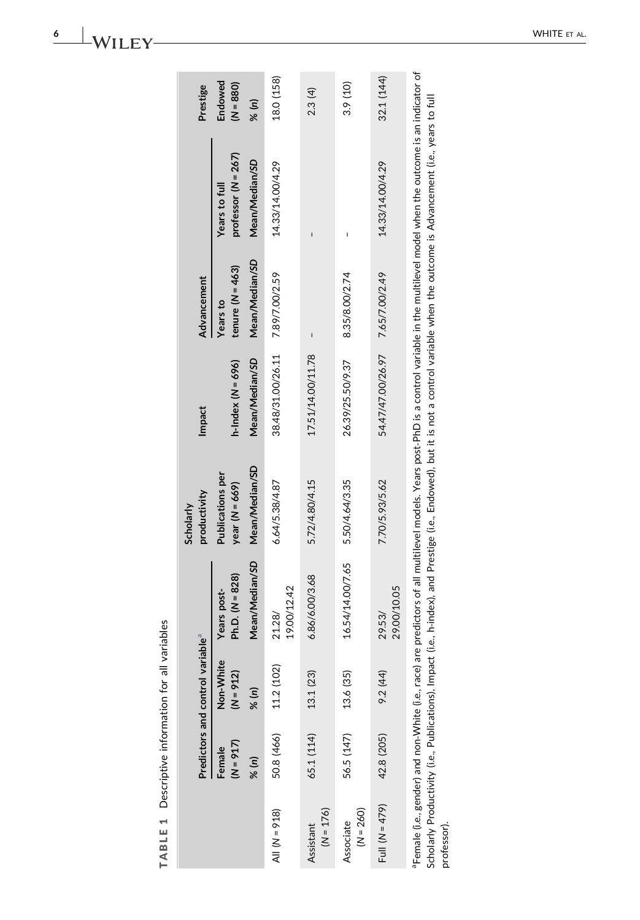| $\frac{1}{2}$<br>;<br>:   |
|---------------------------|
| $\overline{\overline{6}}$ |
| i<br>$\overline{2}$       |
| Ï                         |
|                           |
|                           |
|                           |
| ı                         |
|                           |
|                           |
|                           |
| l                         |

<span id="page-5-0"></span>

|                          |                       | Predictors and control variable <sup>ª</sup> |                                  | productivity<br>Scholarly                   | Impact              | <b>Advancement</b>               |                                        | Prestige               |
|--------------------------|-----------------------|----------------------------------------------|----------------------------------|---------------------------------------------|---------------------|----------------------------------|----------------------------------------|------------------------|
|                          | $(N = 917)$<br>Female | Non-White<br>$(N = 912)$                     | Ph.D. $(N = 828)$<br>Years post- | <b>Publications per</b><br>year $(N = 669)$ | h-Index $(N = 696)$ | tenure ( $N = 463$ )<br>Years to | professor $(N = 267)$<br>Years to full | Endowed<br>$(N = 880)$ |
|                          | % (n)                 | % (n)                                        | Mean/Median/SD                   | Mean/Median/SD                              | Mean/Median/SD      | Mean/Median/SD                   | Mean/Median/SD                         | % (n)                  |
| AII (N = 918)            | 50.8 (466)            | 11.2 (102)                                   | 19.00/12.42<br>21.28/            | 6.64/5.38/4.87                              | 38.48/31.00/26.11   | 7.89/7.00/2.59                   | 14.33/14.00/4.29                       | 18.0 (158)             |
| $(N = 176)$<br>Assistant | 65.1 (114)            | 13.1 (23)                                    | 6.86/6.00/3.68                   | 5.72/4.80/4.15                              | 17.51/14.00/11.78   |                                  |                                        | 2.3 (4)                |
| $(N = 260)$<br>Associate | 56.5 (147)            | 13.6 (35)                                    | 16.54/14.00/7.65                 | 5.50/4.64/3.35                              | 26.39/25.50/9.37    | 8.35/8.00/2.74                   |                                        | 3.9 (10)               |
| Full $(N = 479)$         | 42.8 (205)            | 9.2 (44)                                     | 29.00/10.05<br>29.53/            | 7.70/5.93/5.62                              | 54.47/47.00/26.97   | 7.65/7.00/2.49                   | 14.33/14.00/4.29                       | 32.1 (144)             |
|                          |                       |                                              |                                  |                                             |                     |                                  |                                        |                        |

<span id="page-5-1"></span>Female (i.e., gender) and non-White (i.e., race) are predictors of all multilevel models. Years post-PhD is a control variable in the multilevel model when the outcome is an indicator of aFemale (i.e., gender) and non‐White (i.e., race) are predictors of all multilevel models. Years post‐PhD is a control variable in the multilevel model when the outcome is an indicator of Scholarly Productivity (i.e., Publications), Impact (i.e., h-index), and Prestige (i.e., Endowed), but it is not a control variable when the outcome is Advancement (i.e., years to full Scholarly Productivity (i.e., Publications), Impact (i.e., h‐index), and Prestige (i.e., Endowed), but it is not a control variable when the outcome is Advancement (i.e., years to full professor).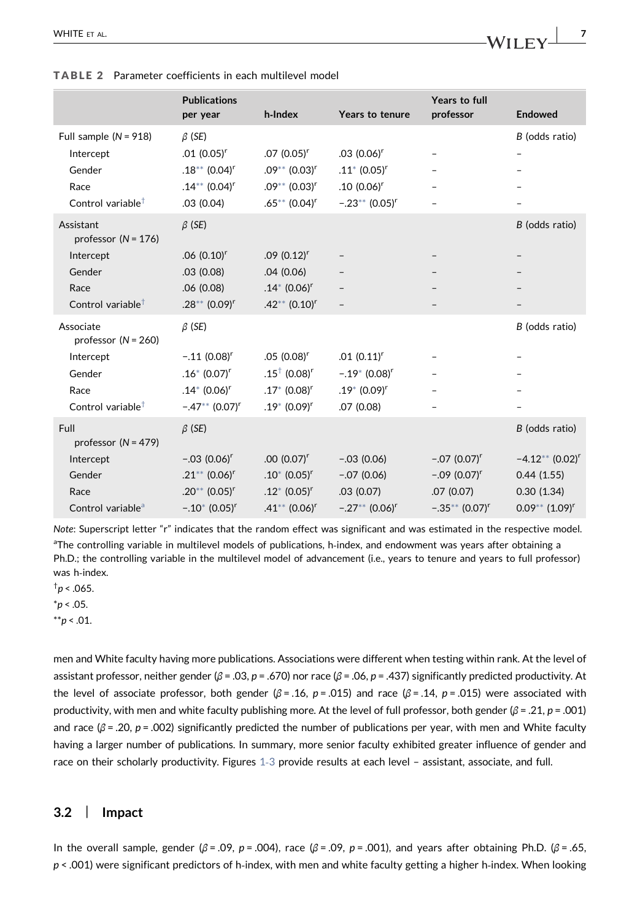|                                                                                                                         | <b>Publications</b><br>per year                                                                                                        | h-Index                                                                                                          | Years to tenure                                                                               | Years to full<br>professor                                                     | <b>Endowed</b>                                                                                     |
|-------------------------------------------------------------------------------------------------------------------------|----------------------------------------------------------------------------------------------------------------------------------------|------------------------------------------------------------------------------------------------------------------|-----------------------------------------------------------------------------------------------|--------------------------------------------------------------------------------|----------------------------------------------------------------------------------------------------|
| Full sample $(N = 918)$<br>Intercept<br>Gender<br>Race<br>Control variable <sup><math>\dagger</math></sup>              | $\beta$ (SE)<br>$.01(0.05)^r$<br>$.18***$ (0.04) <sup>r</sup><br>$.14***$ (0.04) <sup>r</sup><br>.03(0.04)                             | $.07(0.05)^r$<br>$.09***$ (0.03) <sup>r</sup><br>$.09***$ (0.03) <sup>r</sup><br>$.65***$ (0.04) <sup>r</sup>    | $.03(0.06)^r$<br>$.11^*$ (0.05) <sup>r</sup><br>$.10(0.06)^r$<br>$-.23**$ (0.05) <sup>r</sup> |                                                                                | B (odds ratio)                                                                                     |
| Assistant<br>professor ( $N = 176$ )<br>Intercept<br>Gender<br>Race<br>Control variable <sup><math>\dagger</math></sup> | $\beta$ (SE)<br>$.06(0.10)^r$<br>.03(0.08)<br>.06(0.08)<br>$.28**$ (0.09) <sup>r</sup>                                                 | $.09(0.12)^r$<br>.04(0.06)<br>$.14*$ (0.06) <sup>r</sup><br>$.42**$ (0.10) <sup>r</sup>                          | $\qquad \qquad -$                                                                             |                                                                                | B (odds ratio)                                                                                     |
| Associate<br>professor $(N = 260)$<br>Intercept<br>Gender<br>Race<br>Control variable <sup><math>†</math></sup>         | $\beta$ (SE)<br>$-.11$ (0.08) <sup>r</sup><br>$.16*$ (0.07) <sup>r</sup><br>$.14*$ (0.06) <sup>r</sup><br>$-.47**$ (0.07) <sup>r</sup> | $.05(0.08)^r$<br>$.15^{\dagger}$ (0.08) <sup>r</sup><br>$.17*$ (0.08) <sup>r</sup><br>$.19*$ (0.09) <sup>r</sup> | $.01(0.11)^r$<br>$-.19*$ (0.08) <sup>r</sup><br>$.19* (0.09)^r$<br>.07(0.08)                  |                                                                                | B (odds ratio)                                                                                     |
| Full<br>professor $(N = 479)$<br>Intercept<br>Gender<br>Race<br>Control variable <sup>a</sup>                           | $\beta$ (SE)<br>$-.03(0.06)^r$<br>$.21***$ (0.06) <sup>r</sup><br>$.20^{**}$ (0.05) <sup>r</sup><br>$-.10^{*}$ (0.05) <sup>r</sup>     | $.00(0.07)^r$<br>$.10^{*}$ (0.05) <sup>r</sup><br>$.12^*$ (0.05) <sup>r</sup><br>$.41**$ (0.06) <sup>r</sup>     | $-.03(0.06)$<br>$-.07(0.06)$<br>.03(0.07)<br>$-.27**$ (0.06) <sup>r</sup>                     | $-.07(0.07)^r$<br>$-.09(0.07)^r$<br>.07(0.07)<br>$-.35***$ (0.07) <sup>r</sup> | B (odds ratio)<br>$-4.12**$ (0.02) <sup>r</sup><br>0.44(1.55)<br>0.30(1.34)<br>$0.09**$ $(1.09)^r$ |

<span id="page-6-0"></span>TABLE 2 Parameter coefficients in each multilevel model

<span id="page-6-4"></span>Note: Superscript letter "r" indicates that the random effect was significant and was estimated in the respective model. aThe controlling variable in multilevel models of publications, h-index, and endowment was years after obtaining a Ph.D.; the controlling variable in the multilevel model of advancement (i.e., years to tenure and years to full professor) was h-index.

<span id="page-6-3"></span> $\dagger p$  < .065.

<span id="page-6-2"></span> $*p < .05$ .

<span id="page-6-1"></span> $*^{*}p < .01$ .

men and White faculty having more publications. Associations were different when testing within rank. At the level of assistant professor, neither gender ( $\beta$  = .03, p = .670) nor race ( $\beta$  = .06, p = .437) significantly predicted productivity. At the level of associate professor, both gender ( $\beta$  = .16, p = .015) and race ( $\beta$  = .14, p = .015) were associated with productivity, with men and white faculty publishing more. At the level of full professor, both gender ( $\beta$  = .21,  $p$  = .001) and race ( $\beta$  = .20, p = .002) significantly predicted the number of publications per year, with men and White faculty having a larger number of publications. In summary, more senior faculty exhibited greater influence of gender and race on their scholarly productivity. Figures [1](#page-7-0)‐3 provide results at each level – assistant, associate, and full.

#### 3.2 | Impact

In the overall sample, gender (β = .09, p = .004), race (β = .09, p = .001), and years after obtaining Ph.D. (β = .65,  $p$  < .001) were significant predictors of h-index, with men and white faculty getting a higher h-index. When looking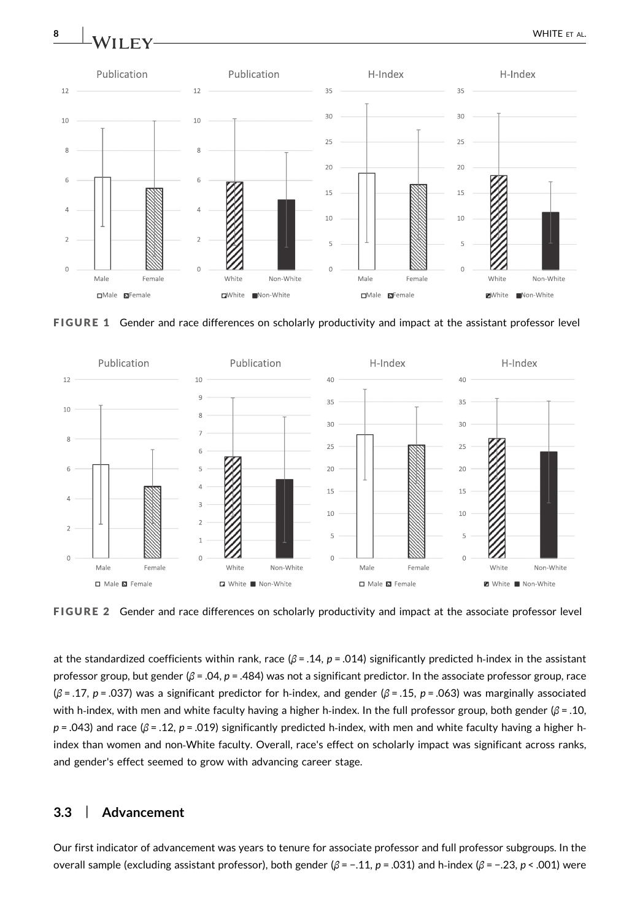<span id="page-7-0"></span>

FIGURE 1 Gender and race differences on scholarly productivity and impact at the assistant professor level



FIGURE 2 Gender and race differences on scholarly productivity and impact at the associate professor level

at the standardized coefficients within rank, race  $(\beta = .14, p = .014)$  significantly predicted h-index in the assistant professor group, but gender ( $\beta$  = .04, p = .484) was not a significant predictor. In the associate professor group, race  $(\beta = .17, p = .037)$  was a significant predictor for h-index, and gender  $(\beta = .15, p = .063)$  was marginally associated with h-index, with men and white faculty having a higher h-index. In the full professor group, both gender ( $\beta$  = .10,  $p = .043$ ) and race ( $\beta = .12$ ,  $p = .019$ ) significantly predicted h-index, with men and white faculty having a higher hindex than women and non‐White faculty. Overall, race's effect on scholarly impact was significant across ranks, and gender's effect seemed to grow with advancing career stage.

# 3.3 | Advancement

Our first indicator of advancement was years to tenure for associate professor and full professor subgroups. In the overall sample (excluding assistant professor), both gender (β = -.11, p = .031) and h-index (β = -.23, p < .001) were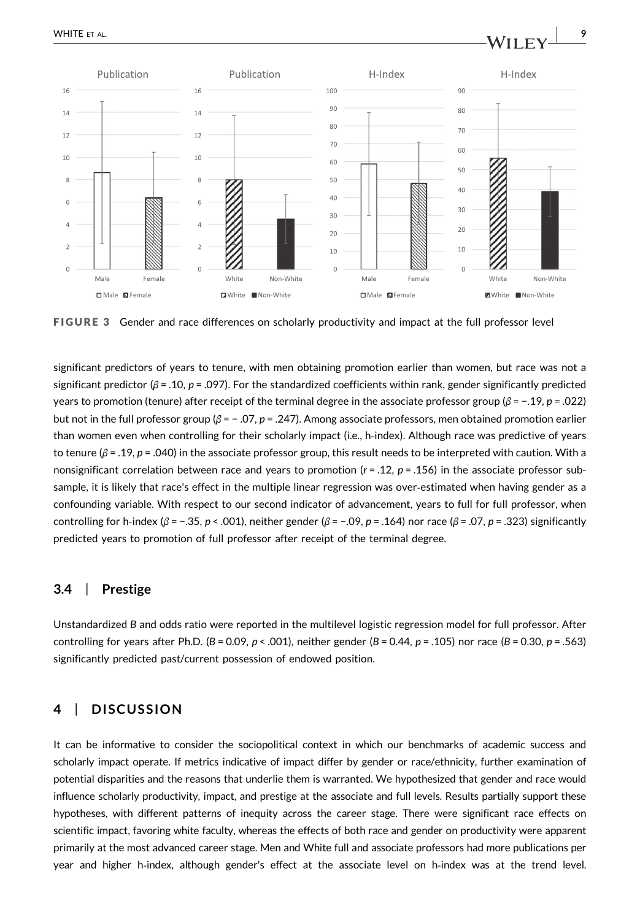

FIGURE 3 Gender and race differences on scholarly productivity and impact at the full professor level

significant predictors of years to tenure, with men obtaining promotion earlier than women, but race was not a significant predictor ( $\beta$  = .10, p = .097). For the standardized coefficients within rank, gender significantly predicted years to promotion (tenure) after receipt of the terminal degree in the associate professor group ( $\beta$  = -.19, p = .022) but not in the full professor group ( $\beta$  = -.07, p = .247). Among associate professors, men obtained promotion earlier than women even when controlling for their scholarly impact (i.e., h‐index). Although race was predictive of years to tenure ( $\beta$  = .19, p = .040) in the associate professor group, this result needs to be interpreted with caution. With a nonsignificant correlation between race and years to promotion ( $r = .12$ ,  $p = .156$ ) in the associate professor subsample, it is likely that race's effect in the multiple linear regression was over-estimated when having gender as a confounding variable. With respect to our second indicator of advancement, years to full for full professor, when controlling for h-index (β = -.35, p < .001), neither gender (β = -.09, p = .164) nor race (β = .07, p = .323) significantly predicted years to promotion of full professor after receipt of the terminal degree.

#### 3.4 | Prestige

Unstandardized B and odds ratio were reported in the multilevel logistic regression model for full professor. After controlling for years after Ph.D. ( $B = 0.09$ ,  $p < .001$ ), neither gender ( $B = 0.44$ ,  $p = .105$ ) nor race ( $B = 0.30$ ,  $p = .563$ ) significantly predicted past/current possession of endowed position.

## 4 | DISCUSSION

It can be informative to consider the sociopolitical context in which our benchmarks of academic success and scholarly impact operate. If metrics indicative of impact differ by gender or race/ethnicity, further examination of potential disparities and the reasons that underlie them is warranted. We hypothesized that gender and race would influence scholarly productivity, impact, and prestige at the associate and full levels. Results partially support these hypotheses, with different patterns of inequity across the career stage. There were significant race effects on scientific impact, favoring white faculty, whereas the effects of both race and gender on productivity were apparent primarily at the most advanced career stage. Men and White full and associate professors had more publications per year and higher h-index, although gender's effect at the associate level on h-index was at the trend level.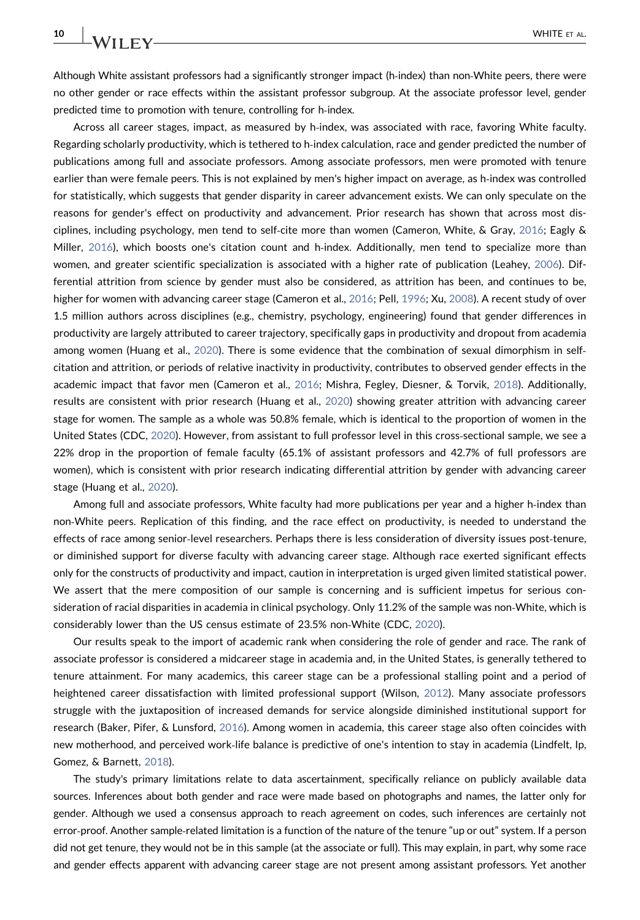Although White assistant professors had a significantly stronger impact (h-index) than non-White peers, there were no other gender or race effects within the assistant professor subgroup. At the associate professor level, gender predicted time to promotion with tenure, controlling for h-index.

Across all career stages, impact, as measured by h-index, was associated with race, favoring White faculty. Regarding scholarly productivity, which is tethered to h-index calculation, race and gender predicted the number of publications among full and associate professors. Among associate professors, men were promoted with tenure earlier than were female peers. This is not explained by men's higher impact on average, as h-index was controlled for statistically, which suggests that gender disparity in career advancement exists. We can only speculate on the reasons for gender's effect on productivity and advancement. Prior research has shown that across most disciplines, including psychology, men tend to self‐cite more than women (Cameron, White, & Gray, [2016;](#page-10-6) Eagly & Miller, [2016](#page-11-12)), which boosts one's citation count and h-index. Additionally, men tend to specialize more than women, and greater scientific specialization is associated with a higher rate of publication (Leahey, [2006](#page-11-17)). Differential attrition from science by gender must also be considered, as attrition has been, and continues to be, higher for women with advancing career stage (Cameron et al., [2016;](#page-10-6) Pell, [1996;](#page-11-18) Xu, [2008\)](#page-11-19). A recent study of over 1.5 million authors across disciplines (e.g., chemistry, psychology, engineering) found that gender differences in productivity are largely attributed to career trajectory, specifically gaps in productivity and dropout from academia among women (Huang et al., [2020\)](#page-11-6). There is some evidence that the combination of sexual dimorphism in selfcitation and attrition, or periods of relative inactivity in productivity, contributes to observed gender effects in the academic impact that favor men (Cameron et al., [2016;](#page-10-6) Mishra, Fegley, Diesner, & Torvik, [2018](#page-11-20)). Additionally, results are consistent with prior research (Huang et al., [2020\)](#page-11-6) showing greater attrition with advancing career stage for women. The sample as a whole was 50.8% female, which is identical to the proportion of women in the United States (CDC, [2020\)](#page-11-21). However, from assistant to full professor level in this cross‐sectional sample, we see a 22% drop in the proportion of female faculty (65.1% of assistant professors and 42.7% of full professors are women), which is consistent with prior research indicating differential attrition by gender with advancing career stage (Huang et al., [2020\)](#page-11-6).

Among full and associate professors, White faculty had more publications per year and a higher h-index than non‐White peers. Replication of this finding, and the race effect on productivity, is needed to understand the effects of race among senior-level researchers. Perhaps there is less consideration of diversity issues post-tenure, or diminished support for diverse faculty with advancing career stage. Although race exerted significant effects only for the constructs of productivity and impact, caution in interpretation is urged given limited statistical power. We assert that the mere composition of our sample is concerning and is sufficient impetus for serious consideration of racial disparities in academia in clinical psychology. Only 11.2% of the sample was non‐White, which is considerably lower than the US census estimate of 23.5% non‐White (CDC, [2020](#page-11-21)).

Our results speak to the import of academic rank when considering the role of gender and race. The rank of associate professor is considered a midcareer stage in academia and, in the United States, is generally tethered to tenure attainment. For many academics, this career stage can be a professional stalling point and a period of heightened career dissatisfaction with limited professional support (Wilson, [2012\)](#page-11-22). Many associate professors struggle with the juxtaposition of increased demands for service alongside diminished institutional support for research (Baker, Pifer, & Lunsford, [2016\)](#page-10-7). Among women in academia, this career stage also often coincides with new motherhood, and perceived work‐life balance is predictive of one's intention to stay in academia (Lindfelt, Ip, Gomez, & Barnett, [2018\)](#page-11-23).

The study's primary limitations relate to data ascertainment, specifically reliance on publicly available data sources. Inferences about both gender and race were made based on photographs and names, the latter only for gender. Although we used a consensus approach to reach agreement on codes, such inferences are certainly not error-proof. Another sample-related limitation is a function of the nature of the tenure "up or out" system. If a person did not get tenure, they would not be in this sample (at the associate or full). This may explain, in part, why some race and gender effects apparent with advancing career stage are not present among assistant professors. Yet another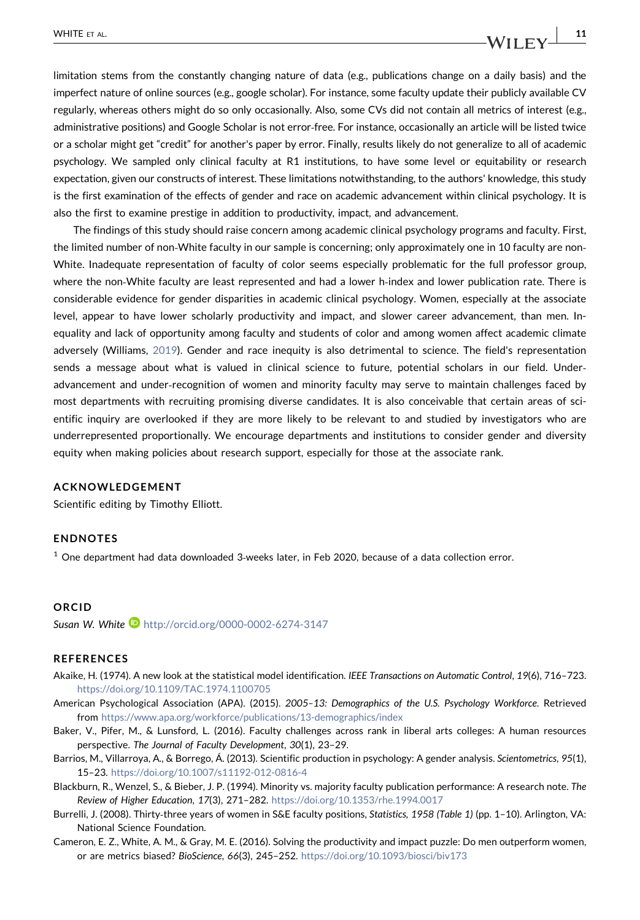limitation stems from the constantly changing nature of data (e.g., publications change on a daily basis) and the imperfect nature of online sources (e.g., google scholar). For instance, some faculty update their publicly available CV regularly, whereas others might do so only occasionally. Also, some CVs did not contain all metrics of interest (e.g., administrative positions) and Google Scholar is not error‐free. For instance, occasionally an article will be listed twice or a scholar might get "credit" for another's paper by error. Finally, results likely do not generalize to all of academic psychology. We sampled only clinical faculty at R1 institutions, to have some level or equitability or research expectation, given our constructs of interest. These limitations notwithstanding, to the authors' knowledge, this study is the first examination of the effects of gender and race on academic advancement within clinical psychology. It is also the first to examine prestige in addition to productivity, impact, and advancement.

The findings of this study should raise concern among academic clinical psychology programs and faculty. First, the limited number of non‐White faculty in our sample is concerning; only approximately one in 10 faculty are non‐ White. Inadequate representation of faculty of color seems especially problematic for the full professor group, where the non-White faculty are least represented and had a lower h-index and lower publication rate. There is considerable evidence for gender disparities in academic clinical psychology. Women, especially at the associate level, appear to have lower scholarly productivity and impact, and slower career advancement, than men. Inequality and lack of opportunity among faculty and students of color and among women affect academic climate adversely (Williams, [2019](#page-11-24)). Gender and race inequity is also detrimental to science. The field's representation sends a message about what is valued in clinical science to future, potential scholars in our field. Under‐ advancement and under‐recognition of women and minority faculty may serve to maintain challenges faced by most departments with recruiting promising diverse candidates. It is also conceivable that certain areas of scientific inquiry are overlooked if they are more likely to be relevant to and studied by investigators who are underrepresented proportionally. We encourage departments and institutions to consider gender and diversity equity when making policies about research support, especially for those at the associate rank.

#### ACKNOWLEDGEMENT

Scientific editing by Timothy Elliott.

#### ENDNOTES

<span id="page-10-4"></span> $<sup>1</sup>$  One department had data downloaded 3-weeks later, in Feb 2020, because of a data collection error.</sup>

#### **ORCID**

Susan W. White D <http://orcid.org/0000-0002-6274-3147>

#### **REFERENCES**

- <span id="page-10-5"></span>Akaike, H. (1974). A new look at the statistical model identification. IEEE Transactions on Automatic Control, 19(6), 716–723. <https://doi.org/10.1109/TAC.1974.1100705>
- <span id="page-10-3"></span>American Psychological Association (APA). (2015). 2005–13: Demographics of the U.S. Psychology Workforce. Retrieved from [https://www.apa.org/workforce/publications/13-demographics/index](https://www.apa.org/workforce/publications/13%2010demographics/index)
- <span id="page-10-7"></span>Baker, V., Pifer, M., & Lunsford, L. (2016). Faculty challenges across rank in liberal arts colleges: A human resources perspective. The Journal of Faculty Development, 30(1), 23–29.
- <span id="page-10-1"></span>Barrios, M., Villarroya, A., & Borrego, Á. (2013). Scientific production in psychology: A gender analysis. Scientometrics, 95(1), 15–23. <https://doi.org/10.1007/s11192-012-0816-4>
- <span id="page-10-2"></span>Blackburn, R., Wenzel, S., & Bieber, J. P. (1994). Minority vs. majority faculty publication performance: A research note. The Review of Higher Education, 17(3), 271–282. <https://doi.org/10.1353/rhe.1994.0017>
- <span id="page-10-0"></span>Burrelli, J. (2008). Thirty‐three years of women in S&E faculty positions, Statistics, 1958 (Table 1) (pp. 1–10). Arlington, VA: National Science Foundation.
- <span id="page-10-6"></span>Cameron, E. Z., White, A. M., & Gray, M. E. (2016). Solving the productivity and impact puzzle: Do men outperform women, or are metrics biased? BioScience, 66(3), 245–252. <https://doi.org/10.1093/biosci/biv173>